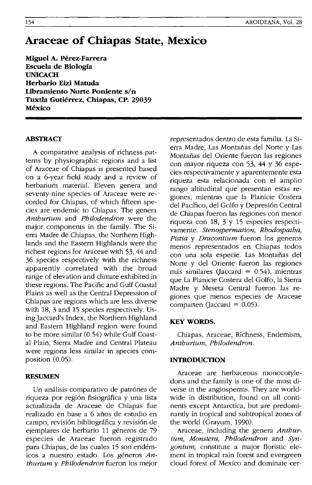# **Araceae of Cbiapas State, Mexico**

**Miguel A. Perez-Farrera Escuela de Biologia UNICACH Herbario Eizi Matuda**  Libramiento Norte Poniente s/n Tuxtla Gutiérrez, Chiapas, CP. 29039 **Mexico** 

# **ABSTRACT**

A comparative analysis of richness patterns by physiographic regions and a list of Araceae of Chiapas is presented based on a 6-year field study and a review of herbarium material. Eleven genera and seventy-nine species of Araceae were recorded for Chiapas, of which fifteen species are endemic to Chiapas. The genera *Anthurium* and *Philodendron* were the major components in the family. The Sierra Madre de Chiapas, the Northern Highlands and the Eastern Highlands were the richest regions for Araceae with 53, 44 and 36 species respectively with the richness apparently correlated with the broad range of elevation and climate exhibited in these regions. The Pacific and Gulf Coastal Plains as well as the Central Depression of Chiapas are regions which are less diverse with 18, 3 and 15 species respectively. Using]accard's Index, the Northern Highland and Eastern Highland region were found to be more similar (0.54) while Gulf Coastal Plain, Sierra Madre and Central Plateau were regions less similar in species composition (0.05).

## **RESUMEN**

Un análisis comparativo de patrónes de riqueza por región fisiográfica y una lista actualizada de Araceae de Chiapas fue realizado en base a 6 afios de estudio en campo, revision bibliografica y revision de ejemplares de herbario 11 géneros de 79 especies de Araceae fueron registrado para Chiapas, de las cuales 15 son endemicos a nuestro estado. Los generos *Anthurium* y *Philodendron* fueron los mejor

representados dentro de esta familia. La Sierra Madre, Las Montafias del Norte y Las Montafias del Oriente fueron las regiones con mayor riqueza con 53, 44 Y 36 especies respectivamente y aparentemente esta riqueza esta relacionada con el amplio rango altitudinal que presentan estas regiones, mientras que la planicie Costera del Pacffico, del Golfo y Depresion Central de Chiapas fueron las regiones con menor riqueza con 18, 3 y 15 especies respectivamente. *Stenospermation, Rhodospatha, Pistia* y *Dracontium* fueron los generos menos representados en Chiapas todos con una sola especie. Las Montafias del Norte y del Oriente fueron las regiones más similares (Jaccard =  $0.54$ ), mientras que La Planicie Costera del Golfo, la Sierra Madre y Meseta Central fueron las regiones que menos especies de Araceae comparten (Jaccard =  $0.05$ ).

# **KEYWORDS.**

Chiapas, Araceae, Richness, Endemism, *Anthurium, Philodendron.* 

#### **INTRODUCTION**

Araceae are herbaceous monocotyledons and the family is one of the most diverse in the angiosperms. They are worldwide in distribution, found on all continents except Antarctica, but are predominantly in tropical and subtropical zones of the world (Grayum, 1990).

Araceae, including the genera *Anthurium, Monstera, Philodendron* and *Syngonium,* constitute a major floristic element in tropical rain forest and evergreen cloud forest of Mexico and dominate cer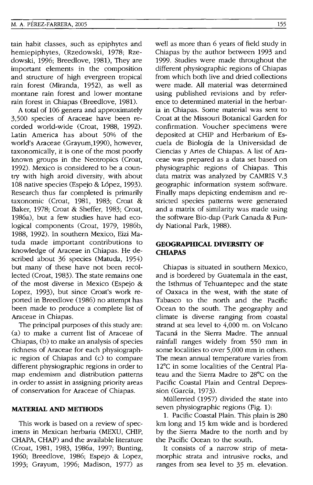tain habit classes, such as epiphytes and hemiepiphytes, (Rzedowski, 1978; Rzedowski, 1996; Breedlove, 1981), They are important elements in the composition and structure of high evergreen tropical rain forest (Miranda, 1952), as well as montane rain forest and lower montane rain forest in Chiapas (Breedlove, 1981).

A total of 106 genera and approximately 3,500 species of Araceae have been recorded world-wide (Croat, 1988, 1992). Latin America has about 50% of the world's Araceae (Grayum,1990), however, taxonomically, it is one of the most poorly known groups in the Neotropics (Croat, 1992). Mexico is considered to be a country with high aroid diversity, with about 108 native species (Espejo & López, 1993). Research thus far completed is primarily taxonomic (Croat, 1981, 1983; Croat & Baker, 1978; Croat & Sheffer, 1983; Croat, 1986a), but a few studies have had ecological components (Croat, 1979, 1986b, 1988, 1992). In southern Mexico, Eizi Matuda made important contributions to knowledge of Araceae in Chiapas. He described about 36 species (Matuda, 1954) but many of these have not been recollected (Croat, 1983). The state remains one of the most diverse in Mexico (Espejo & Lopez, 1993), but since Croat's work reported in Breedlove (1986) no attempt has been made to produce a complete list of Araceae in Chiapas.

The principal purposes of this study are: (a) to make a current list of Araceae of Chiapas, (b) to make an analysis of species richness of Araceae for each physiographic region of Chiapas and (c) to compare different physiographic regions in order to map endemism and distribution patterns in order to assist in assigning priority areas of conservation for Araceae of Chiapas.

# **MATERIAL AND METHODS**

This work is based on a review of specimens in Mexican herbaria (MEXU, CHIP, CHAPA, CHAP) and the available literature (Croat, 1981, 1983, 1986a, 1997; Bunting, 1960; Breedlove, 1986; Espejo & Lopez, 1993; Grayum, 1996; Madison, 1977) as well as more than 6 years of field study in Chiapas by the author between 1993 and 1999. Studies were made throughout the different physiographic regions of Chiapas from which both live and dried collections were made. All material was determined using published revisions and by reference to determined material in the herbaria in Chiapas. Some material was sent to Croat at the Missouri Botanical Garden for confirmation. Voucher specimens were deposited at CHIP and Herbarium of Escuela de Biologfa de la Universidad de Ciencias y Artes de Chiapas. A list of Araceae was prepared as a data set based on physiographic regions of Chiapas. This data matrix was analyzed by CAMRIS V.3 geographic information system software. Finally maps depicting endemism and restricted species patterns were generated and a matrix of similarity was made using the software Bio-dap (Park Canada & Fundy National Park, 1988).

# **GEOGRAPHICAL DIVERSITY OF CHIAPAS**

Chiapas is situated in southern Mexico, and is bordered by Guatemala in the east, the Isthmus of Tehuantepec and the state of Oaxaca in the west, with the state of Tabasco to the north and the Pacific Ocean to the south. The geography and climate is diverse ranging from coastal strand at sea level to 4,000 m. on Volcano Tacana in the Sierra Madre. The annual rainfall ranges widely from 550 mm in some localities to over 5,000 mm in others. The mean annual temperature varies from 12°C in some localities of the Central Plateau and the Sierra Madre to 28°C on the Pacific Coastal Plain and Central Depression (Garcia, 1973).

Müllerried (1957) divided the state into seven physiographic regions (Fig. 1):

1. Pacific Coastal Plain. This plain is 280 km long and 15 km wide and is bordered by the Sierra Madre to the north and by the Pacific Ocean to the south.

It consists of a narrow strip of metamorphic strata and intrusive rocks, and ranges from sea level to 35 m. elevation.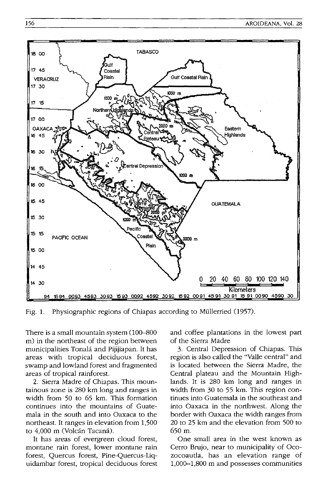

Fig. 1. Physiographic regions of Chiapas according to Mullerried (1957).

There is a small mountain system  $(100-800)$ m) in the northeast of the region between municipalities Tonala and Pijijiapan. It has areas with tropical deciduous forest, swamp and lowland forest and fragmented areas of tropical rainforest.

2. Sierra Madre of Chiapas. This mountainous zone is 280 km long and ranges in width from 50 to 65 km. This formation continues into the mountains of Guatemala in the south and into Oaxaca to the northeast. It ranges in elevation from 1,500 to 4,000 m (Volcán Tacaná).

It has areas of evergreen cloud forest, montane rain forest, lower montane rain forest, Quercus forest, Pine-Quercus-Liquidambar forest, tropical deciduous forest and coffee plantations in the lowest part of the Sierra Madre

3. Central Depression of Chiapas. This region is also called the "Valle central" and is located between the Sierra Madre, the Central plateau and the Mountain Highlands. It is 280 km long and ranges in width from 30 to 55 km. This region continues into Guatemala in the southeast and into Oaxaca in the northwest. Along the border with Oaxaca the width ranges from 20 to 25 km and the elevation from 500 to 650 m.

One small area in the west known as Cerro Brujo, near to municipality of Ocozocoautla, has an elevation range of 1,000-1,800 m and possesses communities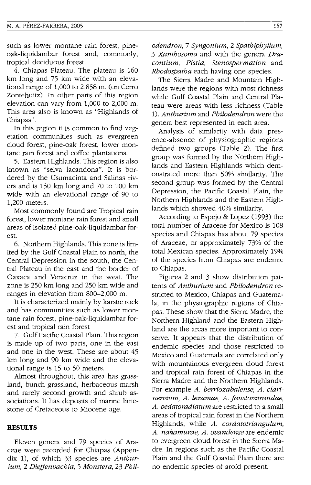such as lower montane rain forest, pineoak-liquidambar forest and, commonly, tropical deciduous forest.

4. Chiapas Plateau. The plateau is 160 km long and 75 km wide with an elevational range of 1,000 to 2,858 m. (on Cerro Zontehuitz). In other parts of this region elevation can vary from 1,000 to 2,000 m. This area also is known as "Highlands of Chiapas".

In this region it is common to find vegetation communities such as evergreen cloud forest, pine-oak forest, lower montane rain forest and coffee plantations.

5. Eastern Highlands. This region is also known as "selva lacandona". It is bordered by the Usumacinta and Salinas rivers and is 150 km long and 70 to 100 km wide with an elevational range of 90 to 1,200 meters.

Most commonly found are Tropical rain forest, lower montane rain forest and small areas of isolated pine-oak-liquidambar forest.

6. Northern Highlands. This zone is limited by the Gulf Coastal Plain to north, the Central Depression in the south, the Central Plateau in the east and the border of Oaxaca and Veracruz in the west. The zone is 250 km long and 250 km wide and ranges in elevation from 800-2,000 m.

It is characterized mainly by karstic rock and has communities such as lower montane rain forest, pine-oak-liquidambar forest and tropical rain forest

7. Gulf Pacific Coastal Plain. This region is made up of two parts, one in the east and one in the west. These are about 45 km long and 90 km wide and the elevational range is 15 to 50 meters.

Almost throughout, this area has grassland, bunch grassland, herbaceous marsh and rarely second growth and shrub associations. It has deposits of marine limestone of Cretaceous to Miocene age.

#### **RESULTS**

Eleven genera and 79 species of Araceae were recorded for Chiapas (Appendix 1), of which 33 species are *Anthurium,* 2 *Dieffenbachia,* 5 *Monstera,* 23 *Phil-* *odendron,* 7 *Syngonium,* 2 *Spathiphyllum, 3 Xanthosoma* and with the genera *Dracontium, Pistia, Stenospermation* and *Rhodospatha* each having one species.

The Sierra Madre and Mountain Highlands were the regions with most richness while Gulf Coastal Plain and Central Plateau were areas with less richness (Table *1). Anthurium* and *Philodendron* were the genera best represented in each area.

Analysis of similarity with data presence-absence of physiographic regions defined two groups (Table 2). The first group was formed by the Northern Highlands and Eastern Highlands which demonstrated more than 50% similarity. The second group was formed by the Central Depression, the Pacific Coastal Plain, the Northern Highlands and the Eastern Highlands which showed 40% similarity.

According to Espejo & Lopez (1993) the total number of Araceae for Mexico is 108 species and Chiapas has about 79 species of Araceae, or approximately 73% of the total Mexican species. Approximately 19% of the species from Chiapas are endemic to Chiapas.

Figures 2 and 3 show distribution patterns of *Anthurium* and *Philodendron* restricted to Mexico, Chiapas and Guatemala, in the physiographic regions of Chiapas. These show that the Sierra Madre, the Northern Highland and the Eastern Highland are the areas more important to conserve. It appears that the distribution of endemic species and those restricted to Mexico and Guatemala are correlated only with mountainous evergreen cloud forest and tropical rain forest of Chiapas in the Sierra Madre and the Northern Highlands. For example *A. berriozabalense, A. clarinervium, A. lezamae, A. !austomirandae, A. pedatoradiatum* are restricted to a small areas of tropical rain forest in the Northern Highlands, while *A. cordatotriangulum, A. nakamurae, A. ovandense* are endemic to evergreen cloud forest in the Sierra Madre. In regions such as the Pacific Coastal Plain and the Gulf Coastal Plain there are no endemic species of aroid present.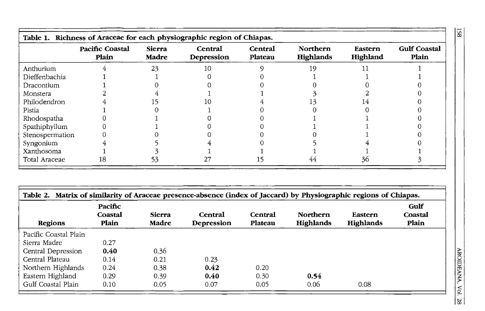|                 | <b>Pacific Coastal</b><br>Plain | Sierra<br>Madre | Central<br>Depression | Central<br>Plateau | <b>Northern</b><br>Highlands | Eastern<br>Highland | <b>Gulf Coastal</b><br>Plain |
|-----------------|---------------------------------|-----------------|-----------------------|--------------------|------------------------------|---------------------|------------------------------|
| Anthurium       |                                 | 23              | 10                    |                    | 19                           |                     |                              |
| Dieffenbachia   |                                 |                 |                       |                    |                              |                     |                              |
| Dracontium      |                                 |                 |                       |                    |                              |                     |                              |
| Monstera        |                                 |                 |                       |                    |                              |                     |                              |
| Philodendron    |                                 |                 |                       |                    |                              |                     |                              |
| Pistia          |                                 |                 |                       |                    |                              |                     |                              |
| Rhodospatha     |                                 |                 |                       |                    |                              |                     |                              |
| Spathiphyllum   |                                 |                 |                       |                    |                              |                     |                              |
| Stenospermation |                                 |                 |                       |                    |                              |                     |                              |
| Syngonium       |                                 |                 |                       |                    |                              |                     |                              |
| Xanthosoma      |                                 |                 |                       |                    |                              |                     |                              |
| Total Araceae   | 18                              | ככ              |                       |                    |                              | 36                  |                              |

|                       | Pacific<br>Coastal | Sierra | Central    | Central | Northern  |                      | Gulf<br>Coastal |
|-----------------------|--------------------|--------|------------|---------|-----------|----------------------|-----------------|
| Regions               | Plain              | Madre  | Depression | Plateau | Highlands | Eastern<br>Highlands | Plain           |
| Pacific Coastal Plain |                    |        |            |         |           |                      |                 |
| Sierra Madre          | 0.27               |        |            |         |           |                      |                 |
| Central Depression    | 0.40               | 0.36   |            |         |           |                      |                 |
| Central Plateau       | 0.14               | 0.21   | 0.23       |         |           |                      |                 |
| Northern Highlands    | 0.24               | 0.38   | 0.42       | 0.20    |           |                      |                 |
| Eastern Highland      | 0.29               | 0.39   | 0.40       | 0.30    | 0.54      |                      |                 |
| Gulf Coastal Plain    | 0.10               | 0.05   | 0.07       | 0.05    | 0.06      | 0.08                 |                 |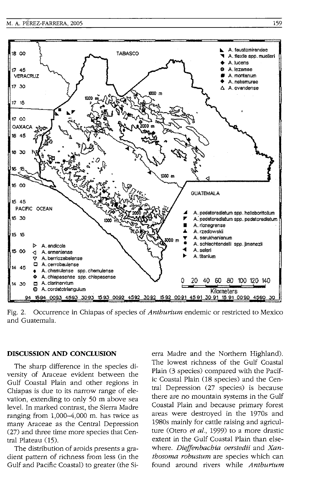

Fig. 2. Occurrence in Chiapas of species of *Anthurium* endemic or restricted to Mexico and Guatemala.

## **DISCUSSION AND CONCLUSION**

The sharp difference in the species diversity of Araceae evident between the Gulf Coastal Plain and other regions in Chiapas is due to its narrow range of elevation, extending to only 50 m above sea level. In marked contrast, the Sierra Madre ranging from 1,000-4,000 m. has twice as many Araceae as the Central Depression (27) and three time more species that Central Plateau (15).

The distribution of aroids presents a gradient pattern of richness from less (in the Gulf and Pacific Coastal) to greater (the Sierra Madre and the Northern Highland). The lowest richness of the Gulf Coastal Plain (3 species) compared with the Pacific Coastal Plain (18 species) and the Central Depression (27 species) is because there are no mountain systems in the Gulf Coastal Plain and because primary forest areas were destroyed in the 1970s and 1980s mainly for cattle raising and agriculture (Otero *et al.,* 1999) to a more drastic extent in the Gulf Coastal Plain than elsewhere. *Dieffenbachia oerstedii* and *Xanthosoma robustum* are species which can found around rivers while *Anthurium*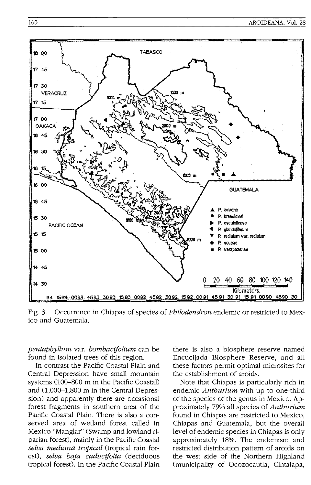

Fig. 3. Occurrence in Chiapas of species of *Philodendron* endemic or restricted to Mexico and Guatemala.

*pentaphyllum* var. *bombacifolium* can be found in isolated trees of this region.

In contrast the Pacific Coastal Plain and Central Depression have small mountain systems (100-800 m in the Pacific Coastal) and (1,000-1,800 m in the Central Depression) and apparently there are occasional forest fragments in southern area of the Pacific Coastal Plain. There is also a conserved area of wetland forest called in Mexico "Manglar" (Swamp and lowland riparian forest), mainly in the Pacific Coastal *selva mediana tropical* (tropical rain forest), *selva baja caducifolia* (deciduous tropical forest). In the Pacific Coastal Plain there is also a biosphere reserve named Encucijada Biosphere Reserve, and all these factors permit optimal microsites for the establishment of aroids.

Note that Chiapas is particularly rich in endemic *Anthurium* with up to one-third of the species of the genus in Mexico. Approximately 79% all species of *Anthurium*  found in Chiapas are restricted to Mexico, Chiapas and Guatemala, but the overall level of endemic species in Chiapas is only approximately 18%. The endemism and restricted distribution pattern of aroids on the west side of the Northern Highland (municipality of Ocozocautla, Cintalapa,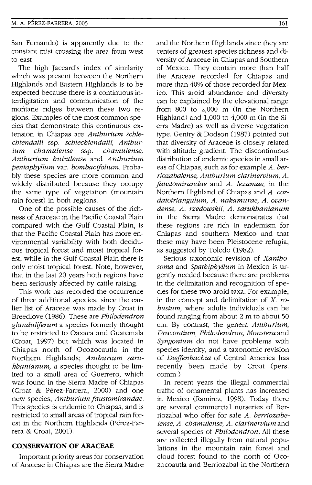San Fernando) is apparently due to the constant mist crossing the area from west to east

The high Jaccard's index of similarity which was present between the Northern Highlands and Eastern Highlands is to be expected because there is a continuous interdigitation and communication of the montane ridges between these two regions. Examples of the most common species that demonstrate this continuous extension in Chiapas are *Anthurium schlechtendalii* ssp. *schlechtendalii, Anthurium chamulense* ssp. *chamulense, Anthurium huixtlense* and *Anthurium pentaphyllum* var. *bombacifolium.* Probably these species are more common and widely distributed because they occupy the same type of vegetation (mountain rain forest) in both regions.

One of the possible causes of the richness of Araceae in the Pacific Coastal Plain compared with the Gulf Coastal Plain, is that the Pacific Coastal Plain has more environmental variability with both deciduous tropical forest and moist tropical forest, while in the Gulf Coastal Plain there is only moist tropical forest. Note, however, that in the last 20 years both regions have been seriously affected by cattle raising.

This work has recorded the occurrence of three additional species, since the earlier list of Araceae was made by Croat in Breedlove (1986). These are *Philodendron glanduliferum* a species formerly thought to be restricted to Oaxaca and Guatemala (Croat, 1997) but which was located in Chiapas north of Ocozocautla in the Northern Highlands; *Anthurium sarukhanianum,* a species thought to be limited to a small area of Guerrero, which was found in the Sierra Madre of Chiapas (Croat & Pérez-Farrera, 2000) and one new species, *Anthurium Jaustomirandae.*  This species is endemic to Chiapas, and is restricted to small areas of tropical rain forest in the Northern Highlands (Pérez-Farrera & Croat, 2001).

#### **CONSERVATION OF ARACEAE**

Important priority areas for conservation of Araceae in Chiapas are the Sierra Madre

and the Northern Highlands since they are centers of greatest species richness and diversity of Araceae in Chiapas and Southern of Mexico. They contain more than half the Araceae recorded for Chiapas and more than 40% of those recorded for Mexico. This aroid abundance and diversity can be explained by the elevational range from 800 to 2,000 m (in the Northern Highland) and 1,000 to 4,000 m (in the Sierra Madre) as well as diverse vegetation type. Gentry & Dodson (1987) pointed out that diversity of Araceae is closely related with altitude gradient. The discontinuous distribution of endemic species in small areas of Chiapas, such as for example *A. berriozabalense, Anthurium clarineroium, A. Jaustomirandae* and *A. lezamae,* in the Northern Highland of Chiapas and *A. cordatotriangulum, A. nakamurae, A. ovandense, A. rzedowskii, A. sarukhanianum*  in the Sierra Madre demonstrates that these regions are rich in endemism for Chiapas and southern Mexico and that these may have been Pleistocene refugia, as suggested by Toledo (1982).

Serious taxonomic revision of *Xanthosoma* and *Spathiphyllum* in Mexico is urgently needed because there are problems in the delimitation and recognition of species for these two aroid taxa. For example, in the concept and delimitation of X. *robustum,* where adults individuals can be found ranging from about 2 m to about 50 cm. By contrast, the genera *Anthurium, Dracontium, Philodendron, Monstera* and *Syngonium* do not have problems with species identity, and a taxonomic revision of *Dieffenbachia* of Central America has recently been made by Croat (pers. comm.)

In recent years the illegal commercial traffic of ornamental plants has increased in Mexico (Ramirez, 1998). Today there are several commercial nurseries of Berriozabal who offer for sale *A. bemozabelense, A. chamulense, A. clarineroium* and several species of *Philodendron.* All these are collected illegally from natural populations in the mountain rain forest and cloud forest found to the north of Ocozocoautla and Berriozabal in the Northern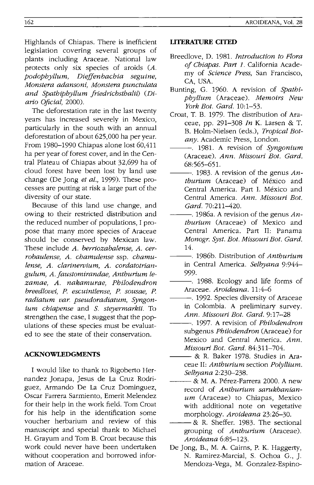Highlands of Chiapas. There is inefficient legislation covering several groups of plants including Araceae. National law protects only six species of aroids (A. *podophyllum, Dieffenbachia seguine, Monstera adansoni, Monstera punctulata*  and Spathiphyllum friedrichsthalii) (Di*ario Ojicial, 2000).* 

The deforestation rate in the last twenty years has increased severely in Mexico, particularly in the south with an annual deforestation of about 625,000 ha per year. From 1980-1990 Chiapas alone lost 60,411 ha per year of forest cover, and in the Central Plateau of Chiapas about 32,699 ha of cloud forest have been lost by land use change (De Jong *et al.,* 1999). These processes are putting at risk a large part of the diversity of our state.

Because of this land use change, and owing to their restricted distribution and the reduced number of populations, I propose that many more species of Araceae should be conserved by Mexican law. These include *A. berriozabalense, A. cerrobaulense, A. chamulense* ssp. *chamulense, A. clarinervium, A. cordatotriangulum, A.jaustomirandae, Anthurium lezamae, A. nakamurae, Philodendron breedlovei, P. escuintlense, P. sousae, P. radiatum var. pseudoradiatum, Syngonium chiapense* and S. *steyermarkii.* To strengthen the case, I suggest that the populations of these species must be evaluated to see the state of their conservation.

## **ACKNOWLEDGMENTS**

I would like to thank to Rigoberto Hernandez Jonapa, Jesus de La Cruz Rodriguez, Armando De La Cruz Dominguez, Oscar Farrera Sarmiento, Emerit Melendez for their help in the work field. Tom Croat for his help in the identification some voucher herbarium and review of this manuscript and special thank to Michael H. Grayum and Tom B. Croat because this work could never have been undertaken without cooperation and borrowed information of Araceae.

# **liTERATURE CITED**

- Breedlove, D. 1981. *Introduction to Flora qf Chiapas. Part* 1. California Academy of *Science Press,* San Francisco, CA, USA.
- Bunting, G. 1960. A revision of *Spathiphyllum* (Araceae). *MemOirs New York Bot. Card. 10:1-53.*
- Croat, T. B. 1979. The distribution of Araceae, pp. 291-308 *In* K. Larsen & T. B. Holm-Nielsen (eds.), *Tropical Botany.* Academic Press, London.
- ---. 1981. A revision of *Syngonium*  (Araceae). *Ann. Missouri Bot. Card.*  68:565-651.
- ---. 1983. A revision of the genus *Anthurium* (Araceae) of México and Central America. Part I. México and Central America. *Ann. Missouri Bot. Card.* 70:211-420.
- ---. 1986a. A revision of the genus *Anthurium* (Araceae) of Mexico and Central America. Part II: Panama *Monogr. Syst. Bot. Missouri Bot. Card.*  14.
- ---. 1986b. Distribution of *Anthurium*  in Central America. *Selbyana 9:944-* 999.
- -. 1988. Ecology and life forms of Araceae. *Aroideana. 11:4-6*
- -. 1992. Species diversity of Araceae in Colombia. A preliminary survey. *Ann. Missouri Bot. Card. 9:17-28*
- ---. 1997. A revision of *Philodendron*  subgenus *Philodendron* (Araceae) for Mexico and Central America. *Ann. Missouri Bot. Card. 84:311-704.*
- & R. Baker 1978. Studies in Araceae II: *Anthurium* section *Polyllium. Selbyana 2:230-238.*
- $-$  & M. A. Pérez-Farrera 2000. A new record of *Anthurium sarukhanianum* (Araceae) to Chiapas, Mexico with additional note on vegetative morphology. *Aroideana 23:26-30.*
- & R. Sheffer. 1983. The sectional grouping of *Anthurium* (Araceae). *Aroideana 6:85-123.*
- De Jong, B., M. A. Cairns, P. K. Haggerty, N. Ramirez-Marcial, S. Ochoa G., J. Mendoza-Vega, M. Gonzalez-Espino-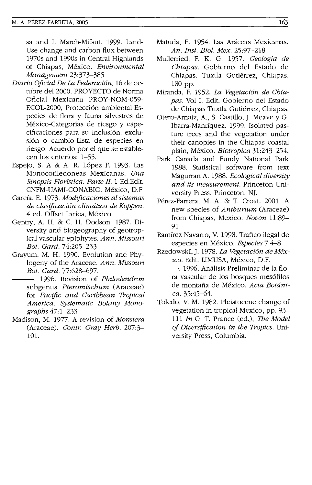sa and I. March-Mifsut. 1999. Land-Use change and carbon flux between 1970s and 1990s in Central Highlands of Chiapas, Mexico. *Environmental Management 23:373-385* 

- *Diario Oficial De La Federaci6n,* 16 de octubre del 2000. PROYECTO de Norma Oficial Mexicana PROY-NOM-059- ECOL-2000, Protección ambiental-Especies de flora y fauna silvestres de México-Categorías de riesgo y especificaciones para su inclusión, exclusión o cambio-Lista de especies en riesgo. Acuerdo por el que se establecen los criterios: 1-55.
- Espejo, S. A & A. R. López F. 1993. Las Monocotiledoneas Mexicanas. *Una Sino psis Floristica. Parte II.* 1 Ed. Edit. CNFM-UAMI-CONABIO. Mexico, D.F
- Garda, E. 1973. *Modificaciones al sistemas de clasificaci6n climatica de Koppen.*  4 ed. Offset Larios, Mexico.
- Gentry, A. H. & c. H. Dodson. 1987. Diversity and biogeography of geotropical vascular epiphytes. *Ann. Missouri Bot. Gard. 74:205-233*
- Grayum, M. H. 1990. Evolution and Phylogeny of the Araceae. *Ann. Missouri Bot. Gard.77:628-697.* 
	- ---. 1996. Revision of *Philodendron*  subgenus *Pteromischum* (Araceae) for *Pacific and Caribbean Tropical America. Systematic Botany Monographs 47:1-233*
- Madison, M. 1977. A revision of *Monstera*  (Araceae). *Contr. Gray Herb. 207:3-* 101.
- Matuda, E. 1954. Las Aráceas Mexicanas. *An. Inst. Bioi. Mex. 25:97-218*
- Mullerried, F. K. G. 1957. *Geologia de Chiapas.* Gobierno del Estado de Chiapas. Tuxtla Gutiérrez, Chiapas. 180 pp.
- Miranda, F. 1952. *La Vegetaci6n de Chiapas.* Vol I. Edit. Gobierno del Estado de Chiapas Tuxtla Gutiérrez, Chiapas.
- Otero-Arnaiz, A., S. Castillo, J. Meave y G. Ibarra-Manriquez. 1999. Isolated pasture trees and the vegetation under their canopies in the Chiapas coastal plain, Mexico. *Biotropica 31:243-254.*
- Park Canada and Fundy National Park 1988. Statistical software from text Magurran A. 1988. *Ecological diversity and its measurement.* Princeton University Press, Princeton, NJ.
- Perez-Farrera, M. A. & T. Croat. 2001. A new species of *Anthurium* (Araceae) from Chiapas, Mexico. *Novon 11:89-* 91
- Ramirez Navarro, V. 1998. Trafico ilegal de especies en Mexico. *Especies 7:4-8*
- RzedowskI, J. 1978. *La Vegetaci6n de Mexico.* Edit. LIMUSA, Mexico, D.F.
- -. 1996. Análisis Preliminar de la flora vascular de los bosques mesófilos de montana de Mexico. *Acta Botanica. 35:45--64.*
- Toledo, V. M. 1982. Pleistocene change of vegetation in tropical Mexico, pp. 93- 111 *In* G. T. Prance (ed.), *The Model of Diversification in the Tropics.* University Press, Columbia.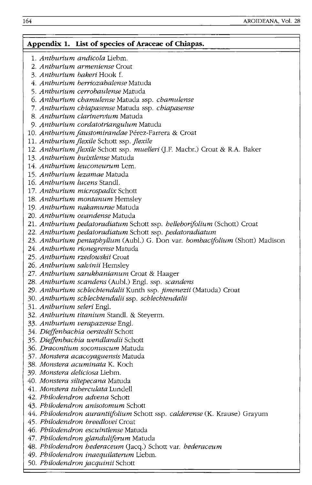# **Appendix 1. list of species of Araceae of Chiapas.**  1. *Anthurium andicola* Liebm. *2. Anthurium armeniense* Croat *3. Anthurium bakeri* Hook f. *4. Anthurium berriozabalense* Matuda *5. Anthurium cerrobaulense* Matuda *6. Anthurium chamulense* Matuda ssp. *chamulense 7. Anthurium chiapasense* Matuda ssp. *chiapasense 8. Anthurium clarinervium* Matuda *9. Anthurium cordatotriangulum* Matuda 10. Anthurium faustomirandae Pérez-Farrera & Croat 11. *Anthurium flexile* Schott ssp. *flexile 12. Anthuriumflexile* Schott ssp. *muelleri* (J.F. Macbr.) Croat & R.A. Baker *13. Anthurium huixtlense* Matuda *14. Anthurium leuconeurum* Lem. *15. Anthurium lezamae* Matuda *16. Anthurium lucens* StandI. *17. Anthurium microspadix* Schott *18. Anthurium montanum* Hemsley *19. Anthurium nakamurae* Matuda *20. Anthurium ovandense* Matuda 21. *Anthurium pedatoradiatum* Schott ssp. *helleborijolium* (Schott) Croat *22. Anthurium pedatoradiatum* Schott ssp. *pedatoradiatum 23. Anthurium pentaphyllum* (Aubl.) G. Don var. *bombacifolium* (Shott) Madison *24. Anthurium rionegrense* Matuda *25. Anthurium rzedowskii* Croat *26. Anthurium salvinii* Hemsley *27. Anthurium sarukhanianum* Croat & Haager *28. Anthurium scandens* (Aubl.) Engl. ssp. *scandens 29. Anthurium schlechtendalii* Kunth ssp. *jimenezii* (Matuda) Croat *30. Anthurium schlechtendalii* ssp. *schlechtendalii 31. Anthurium seleri* Engl. *32. Anthurium titanium* StandI. & Steyerm. *33. Anthurium verapazense* Engl. *34. Dieffenbachia oerstedii* Schott *35. Dieffenbachia wendlandii* Schott *36. Dracontium soconuscum* Matuda *37. Monstera acacoyaguensis* Matuda *38. Monstera acuminata* K. Koch *39. Monstera deliciosa* Liebm. *40. Monstera siltepecana* Matuda *41. Monstera tuberculata* Lundell *42. Philodendron advena* Schott *43. Philodendron anisotomum* Schott *44. Philodendron aurantiifolium* Schott ssp. *calderense* (K. Krause) Grayum *45. Philodendron breedlovei* Croat *46. Philodendron escuintlense* Matuda *47. Philodendron glanduliferum* Matuda *48. Philodendron hederaceum* (Jacq.) Schott var. *hederaceum*

- *49. Philodendron inaequilaterum* Liebm.
- *50. Philodendron jacquinii* Schott